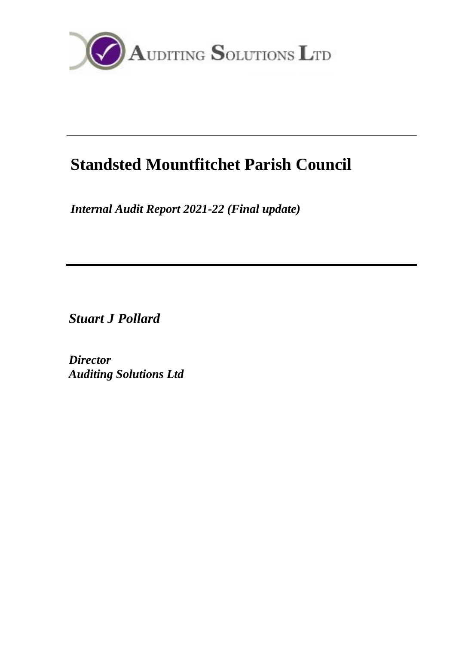

# **Standsted Mountfitchet Parish Council**

*Internal Audit Report 2021-22 (Final update)*

*Stuart J Pollard*

*Director Auditing Solutions Ltd*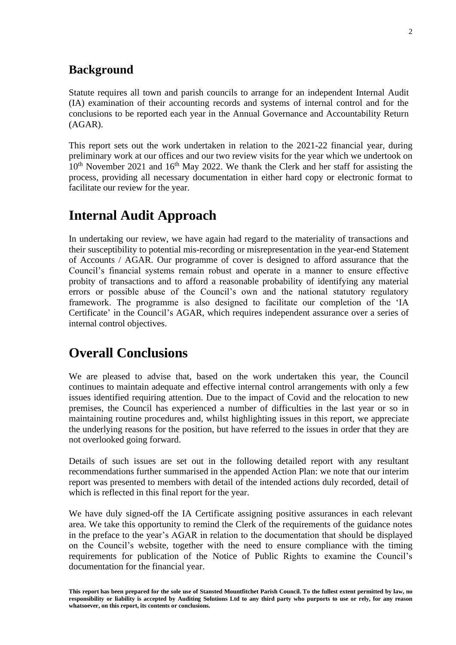### **Background**

Statute requires all town and parish councils to arrange for an independent Internal Audit (IA) examination of their accounting records and systems of internal control and for the conclusions to be reported each year in the Annual Governance and Accountability Return (AGAR).

This report sets out the work undertaken in relation to the 2021-22 financial year, during preliminary work at our offices and our two review visits for the year which we undertook on  $10<sup>th</sup>$  November 2021 and  $16<sup>th</sup>$  May 2022. We thank the Clerk and her staff for assisting the process, providing all necessary documentation in either hard copy or electronic format to facilitate our review for the year.

# **Internal Audit Approach**

In undertaking our review, we have again had regard to the materiality of transactions and their susceptibility to potential mis-recording or misrepresentation in the year-end Statement of Accounts / AGAR. Our programme of cover is designed to afford assurance that the Council's financial systems remain robust and operate in a manner to ensure effective probity of transactions and to afford a reasonable probability of identifying any material errors or possible abuse of the Council's own and the national statutory regulatory framework. The programme is also designed to facilitate our completion of the 'IA Certificate' in the Council's AGAR, which requires independent assurance over a series of internal control objectives.

# **Overall Conclusions**

We are pleased to advise that, based on the work undertaken this year, the Council continues to maintain adequate and effective internal control arrangements with only a few issues identified requiring attention. Due to the impact of Covid and the relocation to new premises, the Council has experienced a number of difficulties in the last year or so in maintaining routine procedures and, whilst highlighting issues in this report, we appreciate the underlying reasons for the position, but have referred to the issues in order that they are not overlooked going forward.

Details of such issues are set out in the following detailed report with any resultant recommendations further summarised in the appended Action Plan: we note that our interim report was presented to members with detail of the intended actions duly recorded, detail of which is reflected in this final report for the year.

We have duly signed-off the IA Certificate assigning positive assurances in each relevant area. We take this opportunity to remind the Clerk of the requirements of the guidance notes in the preface to the year's AGAR in relation to the documentation that should be displayed on the Council's website, together with the need to ensure compliance with the timing requirements for publication of the Notice of Public Rights to examine the Council's documentation for the financial year.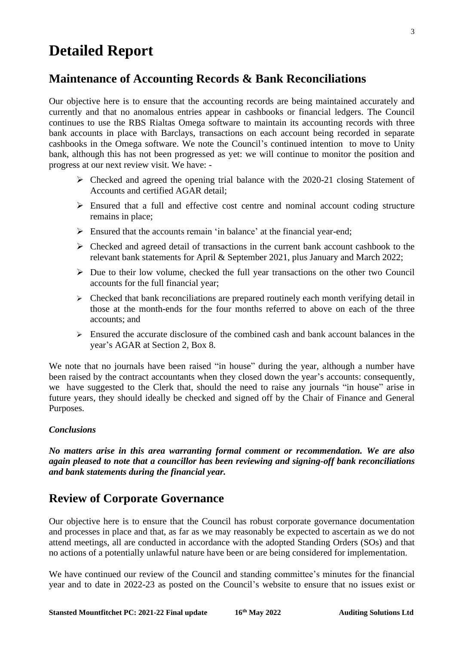# **Detailed Report**

## **Maintenance of Accounting Records & Bank Reconciliations**

Our objective here is to ensure that the accounting records are being maintained accurately and currently and that no anomalous entries appear in cashbooks or financial ledgers. The Council continues to use the RBS Rialtas Omega software to maintain its accounting records with three bank accounts in place with Barclays, transactions on each account being recorded in separate cashbooks in the Omega software. We note the Council's continued intention to move to Unity bank, although this has not been progressed as yet: we will continue to monitor the position and progress at our next review visit. We have: -

- $\triangleright$  Checked and agreed the opening trial balance with the 2020-21 closing Statement of Accounts and certified AGAR detail;
- ➢ Ensured that a full and effective cost centre and nominal account coding structure remains in place;
- $\triangleright$  Ensured that the accounts remain 'in balance' at the financial year-end;
- ➢ Checked and agreed detail of transactions in the current bank account cashbook to the relevant bank statements for April & September 2021, plus January and March 2022;
- $\triangleright$  Due to their low volume, checked the full year transactions on the other two Council accounts for the full financial year;
- $\triangleright$  Checked that bank reconciliations are prepared routinely each month verifying detail in those at the month-ends for the four months referred to above on each of the three accounts; and
- $\triangleright$  Ensured the accurate disclosure of the combined cash and bank account balances in the year's AGAR at Section 2, Box 8.

We note that no journals have been raised "in house" during the year, although a number have been raised by the contract accountants when they closed down the year's accounts: consequently, we have suggested to the Clerk that, should the need to raise any journals "in house" arise in future years, they should ideally be checked and signed off by the Chair of Finance and General Purposes.

### *Conclusions*

*No matters arise in this area warranting formal comment or recommendation. We are also again pleased to note that a councillor has been reviewing and signing-off bank reconciliations and bank statements during the financial year.*

### **Review of Corporate Governance**

Our objective here is to ensure that the Council has robust corporate governance documentation and processes in place and that, as far as we may reasonably be expected to ascertain as we do not attend meetings, all are conducted in accordance with the adopted Standing Orders (SOs) and that no actions of a potentially unlawful nature have been or are being considered for implementation.

We have continued our review of the Council and standing committee's minutes for the financial year and to date in 2022-23 as posted on the Council's website to ensure that no issues exist or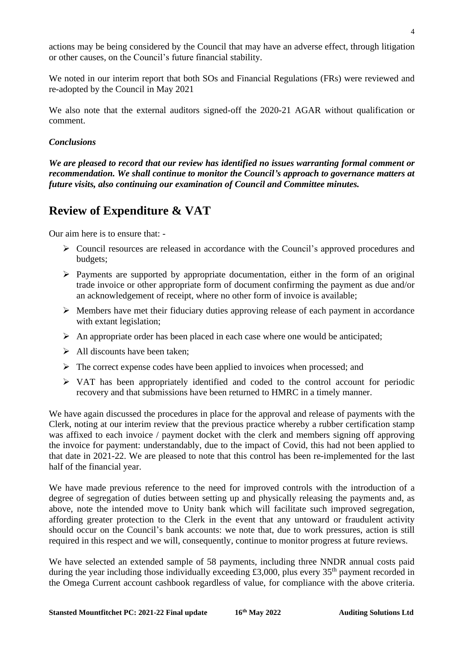actions may be being considered by the Council that may have an adverse effect, through litigation or other causes, on the Council's future financial stability.

We noted in our interim report that both SOs and Financial Regulations (FRs) were reviewed and re-adopted by the Council in May 2021

We also note that the external auditors signed-off the 2020-21 AGAR without qualification or comment.

#### *Conclusions*

*We are pleased to record that our review has identified no issues warranting formal comment or recommendation. We shall continue to monitor the Council's approach to governance matters at future visits, also continuing our examination of Council and Committee minutes.*

# **Review of Expenditure & VAT**

Our aim here is to ensure that: -

- ➢ Council resources are released in accordance with the Council's approved procedures and budgets;
- $\triangleright$  Payments are supported by appropriate documentation, either in the form of an original trade invoice or other appropriate form of document confirming the payment as due and/or an acknowledgement of receipt, where no other form of invoice is available;
- ➢ Members have met their fiduciary duties approving release of each payment in accordance with extant legislation;
- $\triangleright$  An appropriate order has been placed in each case where one would be anticipated;
- $\triangleright$  All discounts have been taken;
- $\triangleright$  The correct expense codes have been applied to invoices when processed; and
- ➢ VAT has been appropriately identified and coded to the control account for periodic recovery and that submissions have been returned to HMRC in a timely manner.

We have again discussed the procedures in place for the approval and release of payments with the Clerk, noting at our interim review that the previous practice whereby a rubber certification stamp was affixed to each invoice / payment docket with the clerk and members signing off approving the invoice for payment: understandably, due to the impact of Covid, this had not been applied to that date in 2021-22. We are pleased to note that this control has been re-implemented for the last half of the financial year.

We have made previous reference to the need for improved controls with the introduction of a degree of segregation of duties between setting up and physically releasing the payments and, as above, note the intended move to Unity bank which will facilitate such improved segregation, affording greater protection to the Clerk in the event that any untoward or fraudulent activity should occur on the Council's bank accounts: we note that, due to work pressures, action is still required in this respect and we will, consequently, continue to monitor progress at future reviews.

We have selected an extended sample of 58 payments, including three NNDR annual costs paid during the year including those individually exceeding £3,000, plus every  $35<sup>th</sup>$  payment recorded in the Omega Current account cashbook regardless of value, for compliance with the above criteria.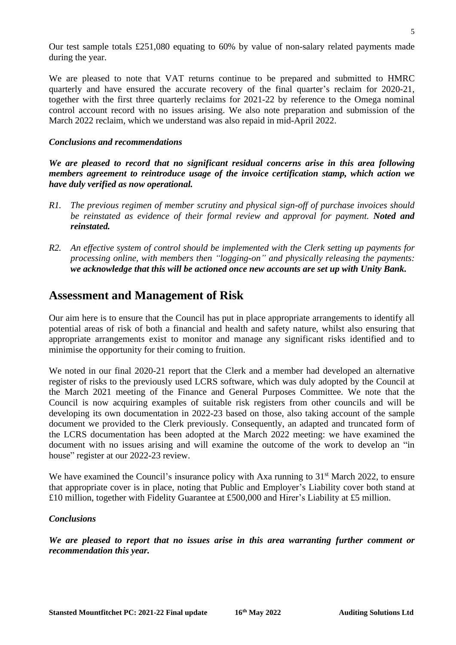Our test sample totals £251,080 equating to 60% by value of non-salary related payments made during the year.

We are pleased to note that VAT returns continue to be prepared and submitted to HMRC quarterly and have ensured the accurate recovery of the final quarter's reclaim for 2020-21, together with the first three quarterly reclaims for 2021-22 by reference to the Omega nominal control account record with no issues arising. We also note preparation and submission of the March 2022 reclaim, which we understand was also repaid in mid-April 2022.

#### *Conclusions and recommendations*

*We are pleased to record that no significant residual concerns arise in this area following members agreement to reintroduce usage of the invoice certification stamp, which action we have duly verified as now operational.*

- *R1. The previous regimen of member scrutiny and physical sign-off of purchase invoices should be reinstated as evidence of their formal review and approval for payment. Noted and reinstated.*
- *R2. An effective system of control should be implemented with the Clerk setting up payments for processing online, with members then "logging-on" and physically releasing the payments: we acknowledge that this will be actioned once new accounts are set up with Unity Bank.*

### **Assessment and Management of Risk**

Our aim here is to ensure that the Council has put in place appropriate arrangements to identify all potential areas of risk of both a financial and health and safety nature, whilst also ensuring that appropriate arrangements exist to monitor and manage any significant risks identified and to minimise the opportunity for their coming to fruition.

We noted in our final 2020-21 report that the Clerk and a member had developed an alternative register of risks to the previously used LCRS software, which was duly adopted by the Council at the March 2021 meeting of the Finance and General Purposes Committee. We note that the Council is now acquiring examples of suitable risk registers from other councils and will be developing its own documentation in 2022-23 based on those, also taking account of the sample document we provided to the Clerk previously. Consequently, an adapted and truncated form of the LCRS documentation has been adopted at the March 2022 meeting: we have examined the document with no issues arising and will examine the outcome of the work to develop an "in house" register at our 2022-23 review.

We have examined the Council's insurance policy with Axa running to  $31<sup>st</sup>$  March 2022, to ensure that appropriate cover is in place, noting that Public and Employer's Liability cover both stand at £10 million, together with Fidelity Guarantee at £500,000 and Hirer's Liability at £5 million.

#### *Conclusions*

*We are pleased to report that no issues arise in this area warranting further comment or recommendation this year.*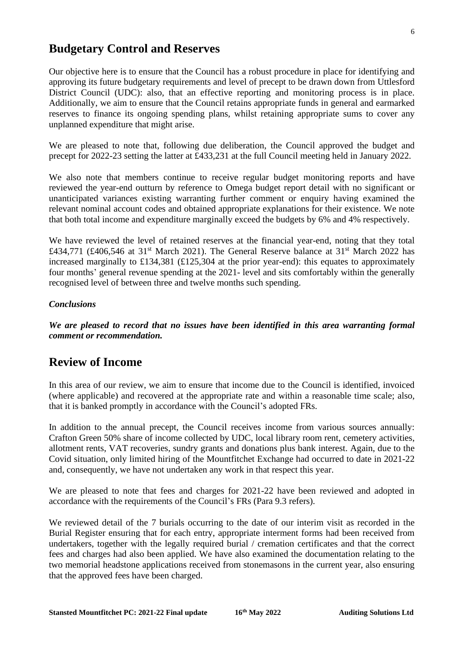### **Budgetary Control and Reserves**

Our objective here is to ensure that the Council has a robust procedure in place for identifying and approving its future budgetary requirements and level of precept to be drawn down from Uttlesford District Council (UDC): also, that an effective reporting and monitoring process is in place. Additionally, we aim to ensure that the Council retains appropriate funds in general and earmarked reserves to finance its ongoing spending plans, whilst retaining appropriate sums to cover any unplanned expenditure that might arise.

We are pleased to note that, following due deliberation, the Council approved the budget and precept for 2022-23 setting the latter at £433,231 at the full Council meeting held in January 2022.

We also note that members continue to receive regular budget monitoring reports and have reviewed the year-end outturn by reference to Omega budget report detail with no significant or unanticipated variances existing warranting further comment or enquiry having examined the relevant nominal account codes and obtained appropriate explanations for their existence. We note that both total income and expenditure marginally exceed the budgets by 6% and 4% respectively.

We have reviewed the level of retained reserves at the financial year-end, noting that they total £434,771 (£406,546 at 31<sup>st</sup> March 2021). The General Reserve balance at 31<sup>st</sup> March 2022 has increased marginally to £134,381 (£125,304 at the prior year-end): this equates to approximately four months' general revenue spending at the 2021- level and sits comfortably within the generally recognised level of between three and twelve months such spending.

### *Conclusions*

*We are pleased to record that no issues have been identified in this area warranting formal comment or recommendation.*

### **Review of Income**

In this area of our review, we aim to ensure that income due to the Council is identified, invoiced (where applicable) and recovered at the appropriate rate and within a reasonable time scale; also, that it is banked promptly in accordance with the Council's adopted FRs.

In addition to the annual precept, the Council receives income from various sources annually: Crafton Green 50% share of income collected by UDC, local library room rent, cemetery activities, allotment rents, VAT recoveries, sundry grants and donations plus bank interest. Again, due to the Covid situation, only limited hiring of the Mountfitchet Exchange had occurred to date in 2021-22 and, consequently, we have not undertaken any work in that respect this year.

We are pleased to note that fees and charges for 2021-22 have been reviewed and adopted in accordance with the requirements of the Council's FRs (Para 9.3 refers).

We reviewed detail of the 7 burials occurring to the date of our interim visit as recorded in the Burial Register ensuring that for each entry, appropriate interment forms had been received from undertakers, together with the legally required burial / cremation certificates and that the correct fees and charges had also been applied. We have also examined the documentation relating to the two memorial headstone applications received from stonemasons in the current year, also ensuring that the approved fees have been charged.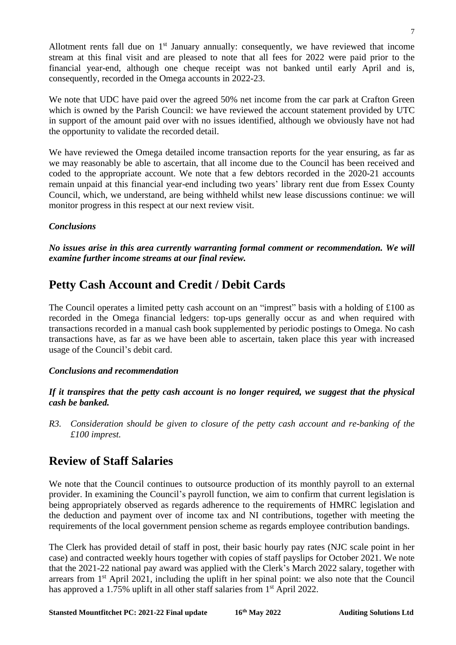Allotment rents fall due on  $1<sup>st</sup>$  January annually: consequently, we have reviewed that income stream at this final visit and are pleased to note that all fees for 2022 were paid prior to the financial year-end, although one cheque receipt was not banked until early April and is, consequently, recorded in the Omega accounts in 2022-23.

We note that UDC have paid over the agreed 50% net income from the car park at Crafton Green which is owned by the Parish Council: we have reviewed the account statement provided by UTC in support of the amount paid over with no issues identified, although we obviously have not had the opportunity to validate the recorded detail.

We have reviewed the Omega detailed income transaction reports for the year ensuring, as far as we may reasonably be able to ascertain, that all income due to the Council has been received and coded to the appropriate account. We note that a few debtors recorded in the 2020-21 accounts remain unpaid at this financial year-end including two years' library rent due from Essex County Council, which, we understand, are being withheld whilst new lease discussions continue: we will monitor progress in this respect at our next review visit.

### *Conclusions*

*No issues arise in this area currently warranting formal comment or recommendation. We will examine further income streams at our final review.*

## **Petty Cash Account and Credit / Debit Cards**

The Council operates a limited petty cash account on an "imprest" basis with a holding of  $\pounds 100$  as recorded in the Omega financial ledgers: top-ups generally occur as and when required with transactions recorded in a manual cash book supplemented by periodic postings to Omega. No cash transactions have, as far as we have been able to ascertain, taken place this year with increased usage of the Council's debit card.

### *Conclusions and recommendation*

*If it transpires that the petty cash account is no longer required, we suggest that the physical cash be banked.*

*R3. Consideration should be given to closure of the petty cash account and re-banking of the £100 imprest.*

### **Review of Staff Salaries**

We note that the Council continues to outsource production of its monthly payroll to an external provider. In examining the Council's payroll function, we aim to confirm that current legislation is being appropriately observed as regards adherence to the requirements of HMRC legislation and the deduction and payment over of income tax and NI contributions, together with meeting the requirements of the local government pension scheme as regards employee contribution bandings.

The Clerk has provided detail of staff in post, their basic hourly pay rates (NJC scale point in her case) and contracted weekly hours together with copies of staff payslips for October 2021. We note that the 2021-22 national pay award was applied with the Clerk's March 2022 salary, together with arrears from  $1<sup>st</sup>$  April 2021, including the uplift in her spinal point: we also note that the Council has approved a 1.75% uplift in all other staff salaries from 1<sup>st</sup> April 2022.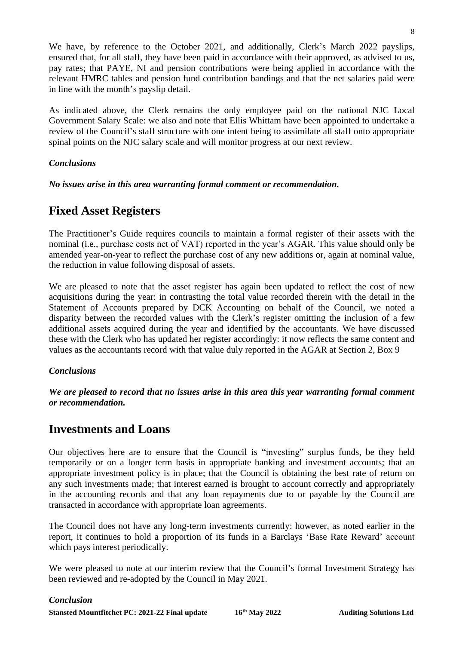We have, by reference to the October 2021, and additionally, Clerk's March 2022 payslips, ensured that, for all staff, they have been paid in accordance with their approved, as advised to us, pay rates; that PAYE, NI and pension contributions were being applied in accordance with the relevant HMRC tables and pension fund contribution bandings and that the net salaries paid were in line with the month's payslip detail.

As indicated above, the Clerk remains the only employee paid on the national NJC Local Government Salary Scale: we also and note that Ellis Whittam have been appointed to undertake a review of the Council's staff structure with one intent being to assimilate all staff onto appropriate spinal points on the NJC salary scale and will monitor progress at our next review.

### *Conclusions*

*No issues arise in this area warranting formal comment or recommendation.*

# **Fixed Asset Registers**

The Practitioner's Guide requires councils to maintain a formal register of their assets with the nominal (i.e., purchase costs net of VAT) reported in the year's AGAR. This value should only be amended year-on-year to reflect the purchase cost of any new additions or, again at nominal value, the reduction in value following disposal of assets.

We are pleased to note that the asset register has again been updated to reflect the cost of new acquisitions during the year: in contrasting the total value recorded therein with the detail in the Statement of Accounts prepared by DCK Accounting on behalf of the Council, we noted a disparity between the recorded values with the Clerk's register omitting the inclusion of a few additional assets acquired during the year and identified by the accountants. We have discussed these with the Clerk who has updated her register accordingly: it now reflects the same content and values as the accountants record with that value duly reported in the AGAR at Section 2, Box 9

### *Conclusions*

*We are pleased to record that no issues arise in this area this year warranting formal comment or recommendation.*

### **Investments and Loans**

Our objectives here are to ensure that the Council is "investing" surplus funds, be they held temporarily or on a longer term basis in appropriate banking and investment accounts; that an appropriate investment policy is in place; that the Council is obtaining the best rate of return on any such investments made; that interest earned is brought to account correctly and appropriately in the accounting records and that any loan repayments due to or payable by the Council are transacted in accordance with appropriate loan agreements.

The Council does not have any long-term investments currently: however, as noted earlier in the report, it continues to hold a proportion of its funds in a Barclays 'Base Rate Reward' account which pays interest periodically.

We were pleased to note at our interim review that the Council's formal Investment Strategy has been reviewed and re-adopted by the Council in May 2021.

#### *Conclusion*

**Stansted Mountfitchet PC: 2021-22 Final update 16**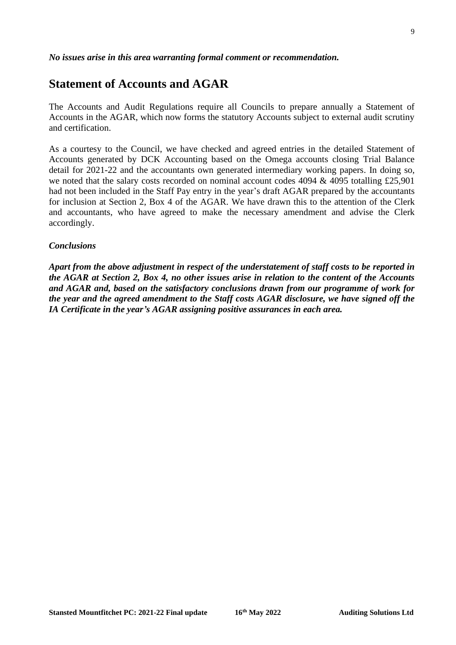#### *No issues arise in this area warranting formal comment or recommendation.*

### **Statement of Accounts and AGAR**

The Accounts and Audit Regulations require all Councils to prepare annually a Statement of Accounts in the AGAR, which now forms the statutory Accounts subject to external audit scrutiny and certification.

As a courtesy to the Council, we have checked and agreed entries in the detailed Statement of Accounts generated by DCK Accounting based on the Omega accounts closing Trial Balance detail for 2021-22 and the accountants own generated intermediary working papers. In doing so, we noted that the salary costs recorded on nominal account codes  $4094 \& 4095$  totalling £25,901 had not been included in the Staff Pay entry in the year's draft AGAR prepared by the accountants for inclusion at Section 2, Box 4 of the AGAR. We have drawn this to the attention of the Clerk and accountants, who have agreed to make the necessary amendment and advise the Clerk accordingly.

#### *Conclusions*

*Apart from the above adjustment in respect of the understatement of staff costs to be reported in the AGAR at Section 2, Box 4, no other issues arise in relation to the content of the Accounts and AGAR and, based on the satisfactory conclusions drawn from our programme of work for the year and the agreed amendment to the Staff costs AGAR disclosure, we have signed off the IA Certificate in the year's AGAR assigning positive assurances in each area.*